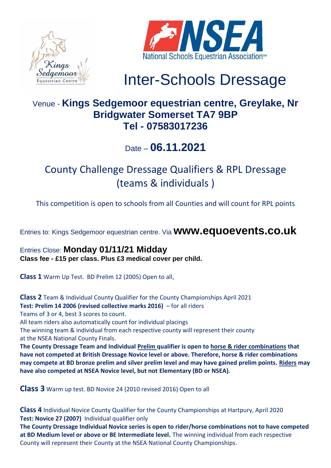



# Inter-Schools Dressage

### Venue - **Kings Sedgemoor equestrian centre, Greylake, Nr Bridgwater Somerset TA7 9BP Tel - 07583017236**

### Date – **06.11.2021**

## County Challenge Dressage Qualifiers & RPL Dressage (teams & individuals )

This competition is open to schools from all Counties and will count for RPL points

Entries to: Kings Sedgemoor equestrian centre. Via **www.equoevents.co.uk**

Entries Close: **Monday 01/11/21 Midday Class fee - £15 per class. Plus £3 medical cover per child.** 

**Class 1** Warm Up Test. BD Prelim 12 (2005) Open to all,

**Class 2** Team & Individual County Qualifier for the County Championships April 2021 **Test: Prelim 14 2006 (revised collective marks 2016)** – for all riders Teams of 3 or 4, best 3 scores to count. All team riders also automatically count for individual placings The winning team & individual from each respective county will represent their county at the NSEA National County Finals. **The County Dressage Team and Individual Prelim qualifier is open to horse & rider combinations that have not competed at British Dressage Novice level or above. Therefore, horse & rider combinations may compete at BD bronze prelim and silver prelim level and may have gained prelim points. Riders may have also competed at NSEA Novice level, but not Elementary (BD or NSEA).**

**Class 3** Warm up test. BD Novice 24 (2010 revised 2016) Open to all

**Class 4** Individual Novice County Qualifier for the County Championships at Hartpury, April 2020 **Test: Novice 27 (2007)** Individual qualifier only

**The County Dressage Individual Novice series is open to rider/horse combinations not to have competed at BD Medium level or above or BE Intermediate level.** The winning individual from each respective County will represent their County at the NSEA National County Championships.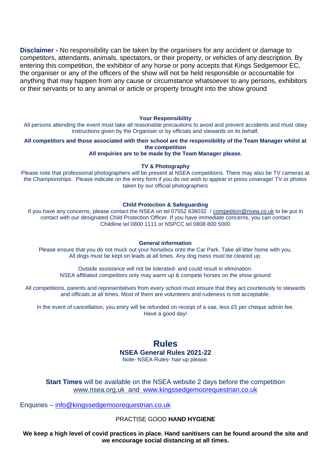**Disclaimer -** No responsibility can be taken by the organisers for any accident or damage to competitors, attendants, animals, spectators, or their property, or vehicles of any description. By entering this competition, the exhibitor of any horse or pony accepts that Kings Sedgemoor EC, the organiser or any of the officers of the show will not be held responsible or accountable for anything that may happen from any cause or circumstance whatsoever to any persons, exhibitors or their servants or to any animal or article or property brought into the show ground

#### **Your Responsibility**

All persons attending the event must take all reasonable precautions to avoid and prevent accidents and must obey instructions given by the Organiser or by officials and stewards on its behalf.

**All competitors and those associated with their school are the responsibility of the Team Manager whilst at the competition All enquiries are to be made by the Team Manager please.**

### **TV & Photography**

Please note that professional photographers will be present at NSEA competitions. There may also be TV cameras at the Championships. Please indicate on the entry form if you do not wish to appear in press coverage/ TV or photos taken by our official photographers

#### **Child Protection & Safeguarding**

If you have any concerns, please contact the NSEA on tel 07552 836032 / [competition@nsea.co.uk](mailto:competition@nsea.co.uk) to be put in contact with our designated Child Protection Officer. If you have immediate concerns, you can contact Childline tel 0800 1111 or NSPCC tel 0808 800 5000

#### **General information**

Please ensure that you do not muck out your horsebox onto the Car Park. Take all litter home with you. All dogs must be kept on leads at all times. Any dog mess must be cleared up.

Outside assistance will not be tolerated- and could result in elimination. NSEA affiliated competitors only may warm up & compete horses on the show ground

All competitions, parents and representatives from every school must ensure that they act courteously to stewards and officials at all times. Most of them are volunteers and rudeness is not acceptable.

In the event of cancellation, you entry will be refunded on receipt of a sae, less £5 per cheque admin fee. Have a good day!

> **Rules NSEA General Rules 2021-22** Note- NSEA Rules- hair up please.

**Start Times** will be available on the NSEA website 2 days before the competition [www.nsea.org.uk](http://www.nsea.org.uk/) and [www.kingssedgemoorequestrian.co.uk](http://www.kingssedgemoorequestrian.co.uk/)

Enquiries – [info@kingssedgemoorequestrian.co.uk](mailto:info@kingssedgemoorequestrian.co.uk) 

PRACTISE GOOD **HAND HYGIENE**

We keep a high level of covid practices in place. Hand sanitisers can be found around the site and **we encourage social distancing at all times.**